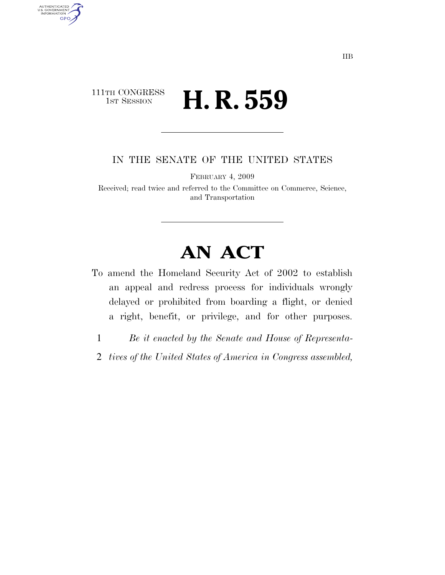## 111TH CONGRESS **1st Session H. R. 559**

AUTHENTICATED<br>U.S. GOVERNMENT<br>INFORMATION

**GPO** 

IN THE SENATE OF THE UNITED STATES

FEBRUARY 4, 2009

Received; read twice and referred to the Committee on Commerce, Science, and Transportation

## **AN ACT**

- To amend the Homeland Security Act of 2002 to establish an appeal and redress process for individuals wrongly delayed or prohibited from boarding a flight, or denied a right, benefit, or privilege, and for other purposes.
	- 1 *Be it enacted by the Senate and House of Representa-*
	- 2 *tives of the United States of America in Congress assembled,*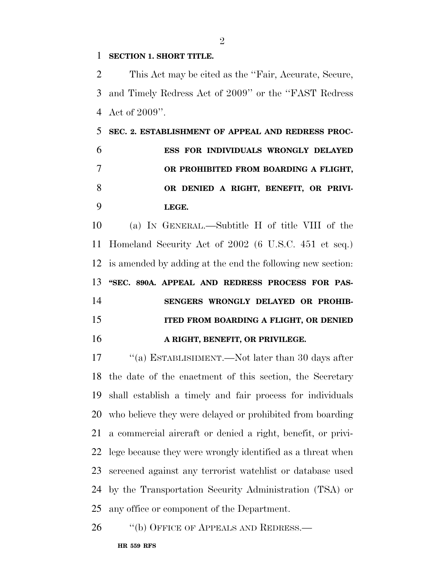## **SECTION 1. SHORT TITLE.**

 This Act may be cited as the ''Fair, Accurate, Secure, and Timely Redress Act of 2009'' or the ''FAST Redress Act of 2009''.

 **SEC. 2. ESTABLISHMENT OF APPEAL AND REDRESS PROC- ESS FOR INDIVIDUALS WRONGLY DELAYED OR PROHIBITED FROM BOARDING A FLIGHT, OR DENIED A RIGHT, BENEFIT, OR PRIVI-LEGE.** 

 (a) IN GENERAL.—Subtitle H of title VIII of the Homeland Security Act of 2002 (6 U.S.C. 451 et seq.) is amended by adding at the end the following new section: **''SEC. 890A. APPEAL AND REDRESS PROCESS FOR PAS- SENGERS WRONGLY DELAYED OR PROHIB- ITED FROM BOARDING A FLIGHT, OR DENIED A RIGHT, BENEFIT, OR PRIVILEGE.** 

17 ''(a) ESTABLISHMENT.—Not later than 30 days after the date of the enactment of this section, the Secretary shall establish a timely and fair process for individuals who believe they were delayed or prohibited from boarding a commercial aircraft or denied a right, benefit, or privi- lege because they were wrongly identified as a threat when screened against any terrorist watchlist or database used by the Transportation Security Administration (TSA) or any office or component of the Department.

26 "(b) OFFICE OF APPEALS AND REDRESS.—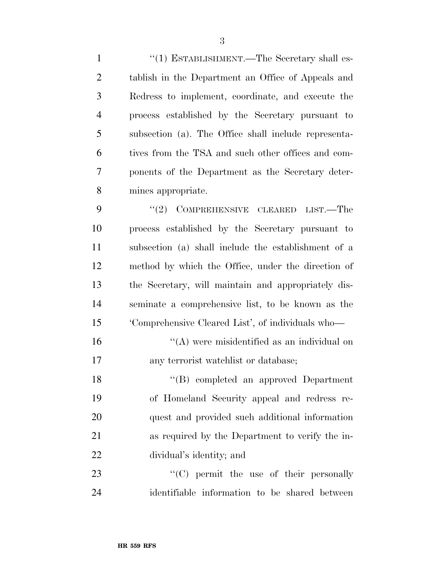$\frac{1}{1}$  ESTABLISHMENT. The Secretary shall es- tablish in the Department an Office of Appeals and Redress to implement, coordinate, and execute the process established by the Secretary pursuant to subsection (a). The Office shall include representa- tives from the TSA and such other offices and com- ponents of the Department as the Secretary deter-mines appropriate.

9 "(2) COMPREHENSIVE CLEARED LIST.—The process established by the Secretary pursuant to subsection (a) shall include the establishment of a method by which the Office, under the direction of the Secretary, will maintain and appropriately dis- seminate a comprehensive list, to be known as the 'Comprehensive Cleared List', of individuals who—

16  $\langle (A)$  were misidentified as an individual on any terrorist watchlist or database;

18 "(B) completed an approved Department of Homeland Security appeal and redress re- quest and provided such additional information as required by the Department to verify the in-dividual's identity; and

23  $\cdot$  (C) permit the use of their personally identifiable information to be shared between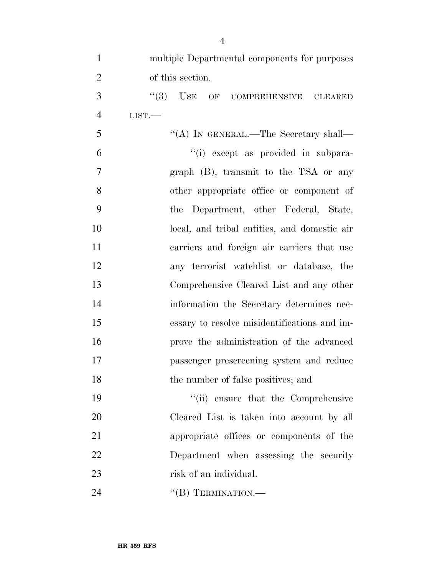| $\mathbf{1}$   | multiple Departmental components for purposes |
|----------------|-----------------------------------------------|
| $\overline{2}$ | of this section.                              |
| 3              | "(3) USE OF COMPREHENSIVE CLEARED             |
| $\overline{4}$ | LIST.                                         |
| 5              | "(A) IN GENERAL.—The Secretary shall—         |
| 6              | "(i) except as provided in subpara-           |
| $\overline{7}$ | graph (B), transmit to the TSA or any         |
| 8              | other appropriate office or component of      |
| 9              | the Department, other Federal, State,         |
| 10             | local, and tribal entities, and domestic air  |
| 11             | carriers and foreign air carriers that use    |
| 12             | any terrorist watchlist or database, the      |
| 13             | Comprehensive Cleared List and any other      |
| 14             | information the Secretary determines nec-     |
| 15             | essary to resolve misidentifications and im-  |
| 16             | prove the administration of the advanced      |
| 17             | passenger prescreening system and reduce      |
| 18             | the number of false positives; and            |
| 19             | "(ii) ensure that the Comprehensive           |
| 20             | Cleared List is taken into account by all     |
| 21             | appropriate offices or components of the      |
| 22             | Department when assessing the security        |
| 23             | risk of an individual.                        |
| 24             | "(B) TERMINATION.—                            |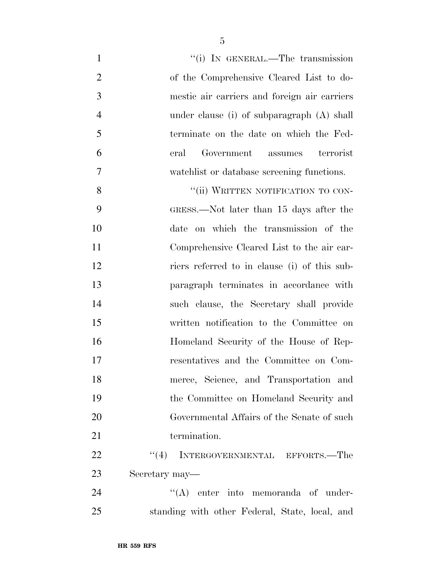| $\mathbf{1}$   | "(i) IN GENERAL.—The transmission              |
|----------------|------------------------------------------------|
| $\overline{2}$ | of the Comprehensive Cleared List to do-       |
| 3              | mestic air carriers and foreign air carriers   |
| $\overline{4}$ | under clause (i) of subparagraph $(A)$ shall   |
| 5              | terminate on the date on which the Fed-        |
| 6              | Government assumes<br>terrorist<br>eral        |
| $\overline{7}$ | watchlist or database screening functions.     |
| 8              | "(ii) WRITTEN NOTIFICATION TO CON-             |
| 9              | GRESS.—Not later than 15 days after the        |
| 10             | date on which the transmission of the          |
| 11             | Comprehensive Cleared List to the air car-     |
| 12             | riers referred to in clause (i) of this sub-   |
| 13             | paragraph terminates in accordance with        |
| 14             | such clause, the Secretary shall provide       |
| 15             | written notification to the Committee on       |
| 16             | Homeland Security of the House of Rep-         |
| 17             | resentatives and the Committee on Com-         |
| 18             | merce, Science, and Transportation and         |
| 19             | the Committee on Homeland Security and         |
| 20             | Governmental Affairs of the Senate of such     |
| 21             | termination.                                   |
| 22             | "(4) INTERGOVERNMENTAL EFFORTS.—The            |
| 23             | Secretary may—                                 |
| 24             | "(A) enter into memoranda of under-            |
| 25             | standing with other Federal, State, local, and |
|                |                                                |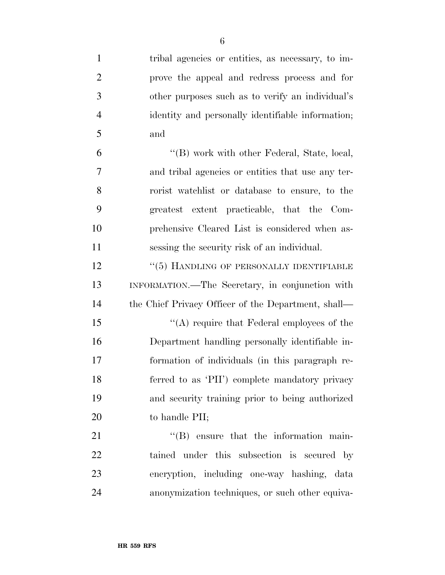| $\mathbf{1}$   | tribal agencies or entities, as necessary, to im-   |
|----------------|-----------------------------------------------------|
| $\overline{2}$ | prove the appeal and redress process and for        |
| 3              | other purposes such as to verify an individual's    |
| $\overline{4}$ | identity and personally identifiable information;   |
| 5              | and                                                 |
| 6              | "(B) work with other Federal, State, local,         |
| 7              | and tribal agencies or entities that use any ter-   |
| 8              | rorist watchlist or database to ensure, to the      |
| 9              | greatest extent practicable, that the Com-          |
| 10             | prehensive Cleared List is considered when as-      |
| 11             | sessing the security risk of an individual.         |
| 12             | "(5) HANDLING OF PERSONALLY IDENTIFIABLE            |
| 13             | INFORMATION.—The Secretary, in conjunction with     |
| 14             | the Chief Privacy Officer of the Department, shall— |
| 15             | " $(A)$ require that Federal employees of the       |
| 16             | Department handling personally identifiable in-     |
| 17             | formation of individuals (in this paragraph re-     |
| 18             | ferred to as 'PII') complete mandatory privacy      |
| 19             | and security training prior to being authorized     |
| 20             | to handle PII;                                      |
| 21             | $\lq\lq$ ensure that the information main-          |
| 22             | tained under this subsection is secured by          |
| 23             | encryption, including one-way hashing, data         |
| 24             | anonymization techniques, or such other equiva-     |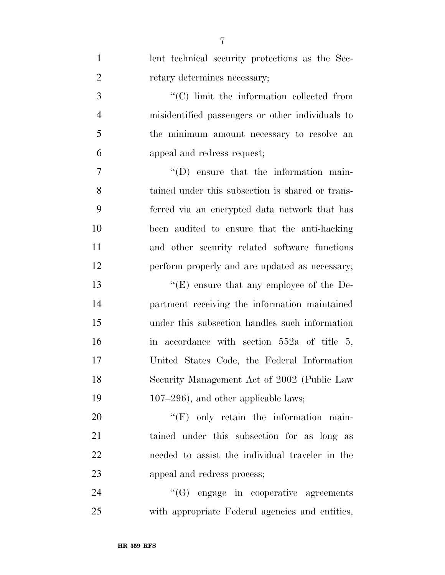| $\mathbf{1}$   | lent technical security protections as the Sec-  |
|----------------|--------------------------------------------------|
| $\overline{2}$ | retary determines necessary;                     |
| 3              | "(C) limit the information collected from        |
| $\overline{4}$ | misidentified passengers or other individuals to |
| 5              | the minimum amount necessary to resolve an       |
| 6              | appeal and redress request;                      |
| $\tau$         | $\lq\lq$ (D) ensure that the information main-   |
| 8              | tained under this subsection is shared or trans- |
| 9              | ferred via an encrypted data network that has    |
| 10             | been audited to ensure that the anti-hacking     |
| 11             | and other security related software functions    |
| 12             | perform properly and are updated as necessary;   |
| 13             | " $(E)$ ensure that any employee of the De-      |
| 14             | partment receiving the information maintained    |
| 15             | under this subsection handles such information   |
| 16             | in accordance with section $552a$ of title 5,    |
| 17             | United States Code, the Federal Information      |
| 18             | Security Management Act of 2002 (Public Law      |
| 19             | $107-296$ , and other applicable laws;           |
| 20             | $\lq\lq(F)$ only retain the information main-    |
| 21             | tained under this subsection for as long as      |
| 22             | needed to assist the individual traveler in the  |
| 23             | appeal and redress process;                      |
| 24             | $\lq\lq(G)$ engage in cooperative agreements     |
| 25             | with appropriate Federal agencies and entities,  |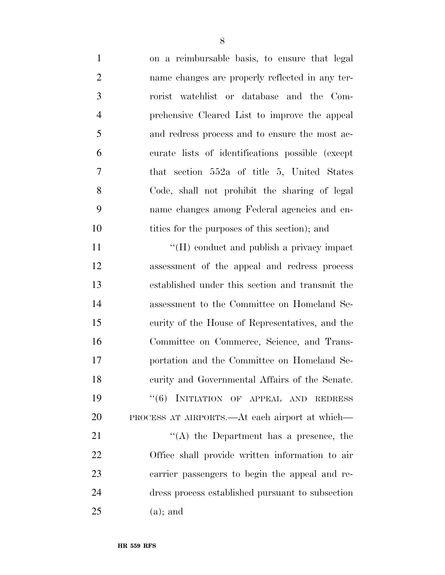| $\mathbf{1}$   | on a reimbursable basis, to ensure that legal    |
|----------------|--------------------------------------------------|
| $\overline{2}$ | name changes are properly reflected in any ter-  |
| 3              | rorist watchlist or database and the Com-        |
| $\overline{4}$ | prehensive Cleared List to improve the appeal    |
| 5              | and redress process and to ensure the most ac-   |
| 6              | curate lists of identifications possible (except |
| 7              | that section $552a$ of title 5, United States    |
| 8              | Code, shall not prohibit the sharing of legal    |
| 9              | name changes among Federal agencies and en-      |
| 10             | tities for the purposes of this section); and    |
| 11             | "(H) conduct and publish a privacy impact        |
| 12             | assessment of the appeal and redress process     |
| 13             | established under this section and transmit the  |
| 14             | assessment to the Committee on Homeland Se-      |
| 15             | curity of the House of Representatives, and the  |
| 16             | Committee on Commerce, Science, and Trans-       |
| 17             | portation and the Committee on Homeland Se-      |
| 18             | curity and Governmental Affairs of the Senate.   |
| 19             | INITIATION OF APPEAL AND REDRESS<br>(6)          |
| 20             | PROCESS AT AIRPORTS.—At each airport at which—   |
| 21             | "(A) the Department has a presence, the          |
| 22             | Office shall provide written information to air  |
| 23             | carrier passengers to begin the appeal and re-   |
| 24             | dress process established pursuant to subsection |
| 25             | $(a)$ ; and                                      |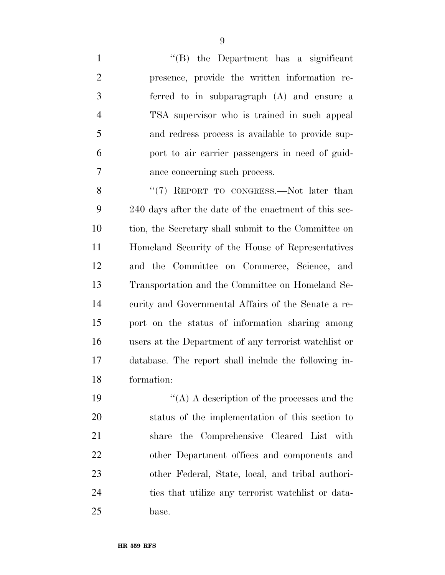''(B) the Department has a significant presence, provide the written information re- ferred to in subparagraph (A) and ensure a TSA supervisor who is trained in such appeal and redress process is available to provide sup- port to air carrier passengers in need of guid-ance concerning such process.

8 "(7) REPORT TO CONGRESS. Not later than 240 days after the date of the enactment of this sec- tion, the Secretary shall submit to the Committee on Homeland Security of the House of Representatives and the Committee on Commerce, Science, and Transportation and the Committee on Homeland Se- curity and Governmental Affairs of the Senate a re- port on the status of information sharing among users at the Department of any terrorist watchlist or database. The report shall include the following in-formation:

 $\langle (A) \rangle$  A description of the processes and the status of the implementation of this section to share the Comprehensive Cleared List with other Department offices and components and other Federal, State, local, and tribal authori- ties that utilize any terrorist watchlist or data-base.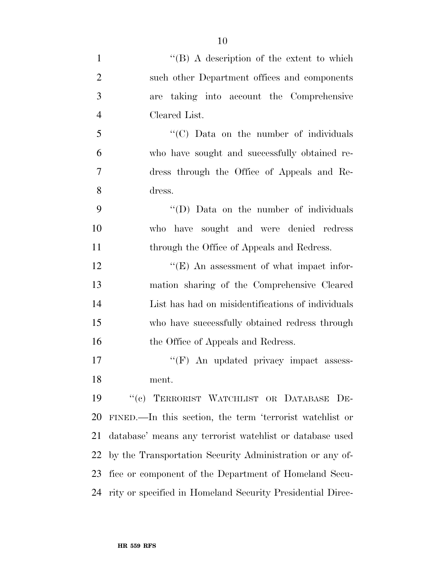1 ''(B) A description of the extent to which such other Department offices and components are taking into account the Comprehensive Cleared List. ''(C) Data on the number of individuals who have sought and successfully obtained re- dress through the Office of Appeals and Re- dress. 9 "'(D) Data on the number of individuals who have sought and were denied redress 11 through the Office of Appeals and Redress. 12 ''(E) An assessment of what impact infor- mation sharing of the Comprehensive Cleared List has had on misidentifications of individuals who have successfully obtained redress through 16 the Office of Appeals and Redress. 17 ''(F) An updated privacy impact assess-ment.

 ''(c) TERRORIST WATCHLIST OR DATABASE DE- FINED.—In this section, the term 'terrorist watchlist or database' means any terrorist watchlist or database used by the Transportation Security Administration or any of- fice or component of the Department of Homeland Secu-rity or specified in Homeland Security Presidential Direc-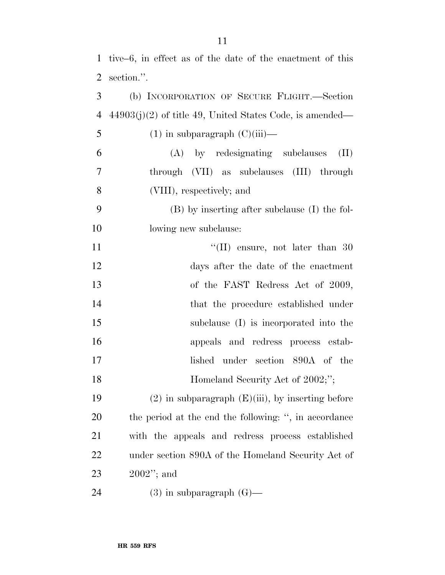| $\overline{2}$ | section.".                                                 |
|----------------|------------------------------------------------------------|
| 3              | (b) INCORPORATION OF SECURE FLIGHT.—Section                |
| $\overline{4}$ | $44903(j)(2)$ of title 49, United States Code, is amended— |
| 5              | $(1)$ in subparagraph $(C)(iii)$ —                         |
| 6              | (A) by redesignating subclauses<br>(II)                    |
| $\overline{7}$ | through (VII) as subclauses (III) through                  |
| 8              | (VIII), respectively; and                                  |
| 9              | (B) by inserting after subclause (I) the fol-              |
| 10             | lowing new subclause:                                      |
| 11             | $\lq$ (II) ensure, not later than 30                       |
| 12             | days after the date of the enactment                       |
| 13             | of the FAST Redress Act of 2009,                           |
| 14             | that the procedure established under                       |
| 15             | subclause (I) is incorporated into the                     |
| 16             | appeals and redress process estab-                         |
| 17             | lished under section 890A of the                           |
| 18             | Homeland Security Act of 2002;";                           |
| 19             | $(2)$ in subparagraph $(E)(iii)$ , by inserting before     |
| <b>20</b>      | the period at the end the following: ", in accordance      |
| 21             | with the appeals and redress process established           |
| 22             | under section 890A of the Homeland Security Act of         |
| 23             | $2002$ "; and                                              |

(3) in subparagraph (G)—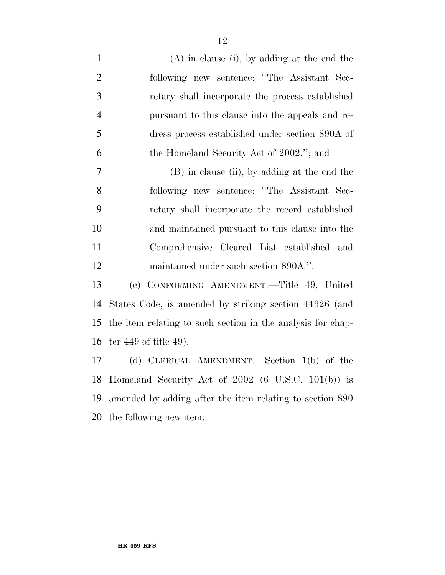(A) in clause (i), by adding at the end the following new sentence: ''The Assistant Sec- retary shall incorporate the process established pursuant to this clause into the appeals and re- dress process established under section 890A of the Homeland Security Act of 2002.''; and (B) in clause (ii), by adding at the end the following new sentence: ''The Assistant Sec- retary shall incorporate the record established and maintained pursuant to this clause into the Comprehensive Cleared List established and maintained under such section 890A.''. (c) CONFORMING AMENDMENT.—Title 49, United States Code, is amended by striking section 44926 (and the item relating to such section in the analysis for chap- ter 449 of title 49). (d) CLERICAL AMENDMENT.—Section 1(b) of the Homeland Security Act of 2002 (6 U.S.C. 101(b)) is amended by adding after the item relating to section 890

the following new item: